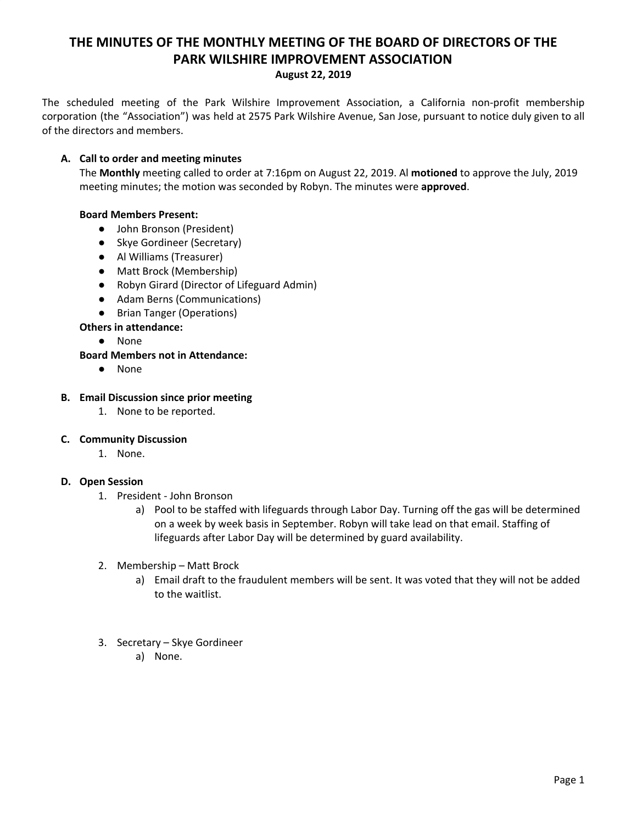# **THE MINUTES OF THE MONTHLY MEETING OF THE BOARD OF DIRECTORS OF THE PARK WILSHIRE IMPROVEMENT ASSOCIATION**

#### **August 22, 2019**

The scheduled meeting of the Park Wilshire Improvement Association, a California non-profit membership corporation (the "Association") was held at 2575 Park Wilshire Avenue, San Jose, pursuant to notice duly given to all of the directors and members.

## **A. Call to order and meeting minutes**

The **Monthly** meeting called to order at 7:16pm on August 22, 2019. Al **motioned** to approve the July, 2019 meeting minutes; the motion was seconded by Robyn. The minutes were **approved**.

## **Board Members Present:**

- John Bronson (President)
- Skye Gordineer (Secretary)
- **●** Al Williams (Treasurer)
- Matt Brock (Membership)
- Robyn Girard (Director of Lifeguard Admin)
- Adam Berns (Communications)
- Brian Tanger (Operations)

#### **Others in attendance:**

● None

## **Board Members not in Attendance:**

● None

#### **B. Email Discussion since prior meeting**

1. None to be reported.

#### **C. Community Discussion**

1. None.

#### **D. Open Session**

- 1. President John Bronson
	- a) Pool to be staffed with lifeguards through Labor Day. Turning off the gas will be determined on a week by week basis in September. Robyn will take lead on that email. Staffing of lifeguards after Labor Day will be determined by guard availability.
- 2. Membership Matt Brock
	- a) Email draft to the fraudulent members will be sent. It was voted that they will not be added to the waitlist.
- 3. Secretary Skye Gordineer
	- a) None.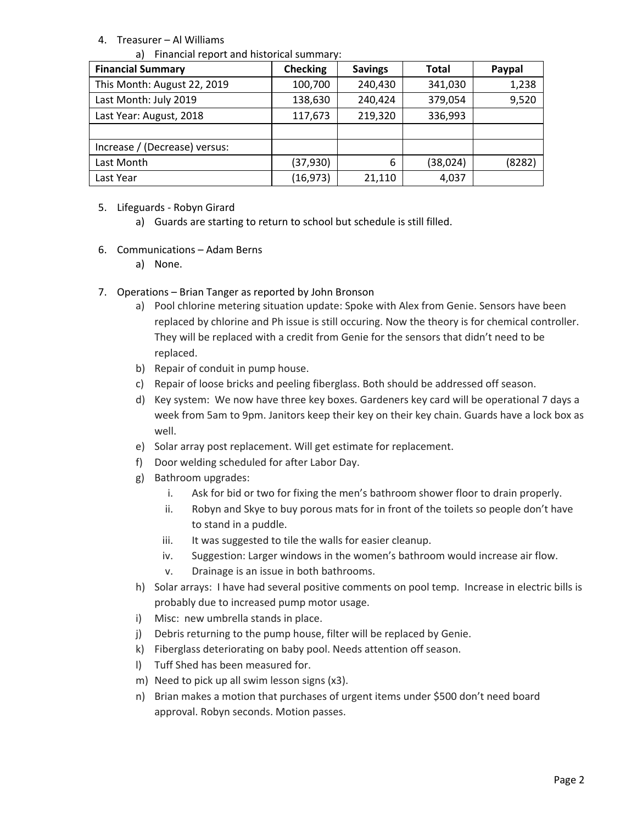## 4. Treasurer – Al Williams

|  |  | a) Financial report and historical summary: |  |  |
|--|--|---------------------------------------------|--|--|
|--|--|---------------------------------------------|--|--|

| <b>Financial Summary</b>      | <b>Checking</b> | <b>Savings</b> | Total    | Paypal |
|-------------------------------|-----------------|----------------|----------|--------|
| This Month: August 22, 2019   | 100,700         | 240,430        | 341,030  | 1,238  |
| Last Month: July 2019         | 138,630         | 240,424        | 379,054  | 9,520  |
| Last Year: August, 2018       | 117,673         | 219,320        | 336,993  |        |
|                               |                 |                |          |        |
| Increase / (Decrease) versus: |                 |                |          |        |
| Last Month                    | (37, 930)       | 6              | (38,024) | (8282) |
| Last Year                     | (16, 973)       | 21,110         | 4,037    |        |

- 5. Lifeguards Robyn Girard
	- a) Guards are starting to return to school but schedule is still filled.
- 6. Communications Adam Berns
	- a) None.
- 7. Operations Brian Tanger as reported by John Bronson
	- a) Pool chlorine metering situation update: Spoke with Alex from Genie. Sensors have been replaced by chlorine and Ph issue is still occuring. Now the theory is for chemical controller. They will be replaced with a credit from Genie for the sensors that didn't need to be replaced.
	- b) Repair of conduit in pump house.
	- c) Repair of loose bricks and peeling fiberglass. Both should be addressed off season.
	- d) Key system: We now have three key boxes. Gardeners key card will be operational 7 days a week from 5am to 9pm. Janitors keep their key on their key chain. Guards have a lock box as well.
	- e) Solar array post replacement. Will get estimate for replacement.
	- f) Door welding scheduled for after Labor Day.
	- g) Bathroom upgrades:
		- i. Ask for bid or two for fixing the men's bathroom shower floor to drain properly.
		- ii. Robyn and Skye to buy porous mats for in front of the toilets so people don't have to stand in a puddle.
		- iii. It was suggested to tile the walls for easier cleanup.
		- iv. Suggestion: Larger windows in the women's bathroom would increase air flow.
		- v. Drainage is an issue in both bathrooms.
	- h) Solar arrays: I have had several positive comments on pool temp. Increase in electric bills is probably due to increased pump motor usage.
	- i) Misc: new umbrella stands in place.
	- j) Debris returning to the pump house, filter will be replaced by Genie.
	- k) Fiberglass deteriorating on baby pool. Needs attention off season.
	- l) Tuff Shed has been measured for.
	- m) Need to pick up all swim lesson signs (x3).
	- n) Brian makes a motion that purchases of urgent items under \$500 don't need board approval. Robyn seconds. Motion passes.